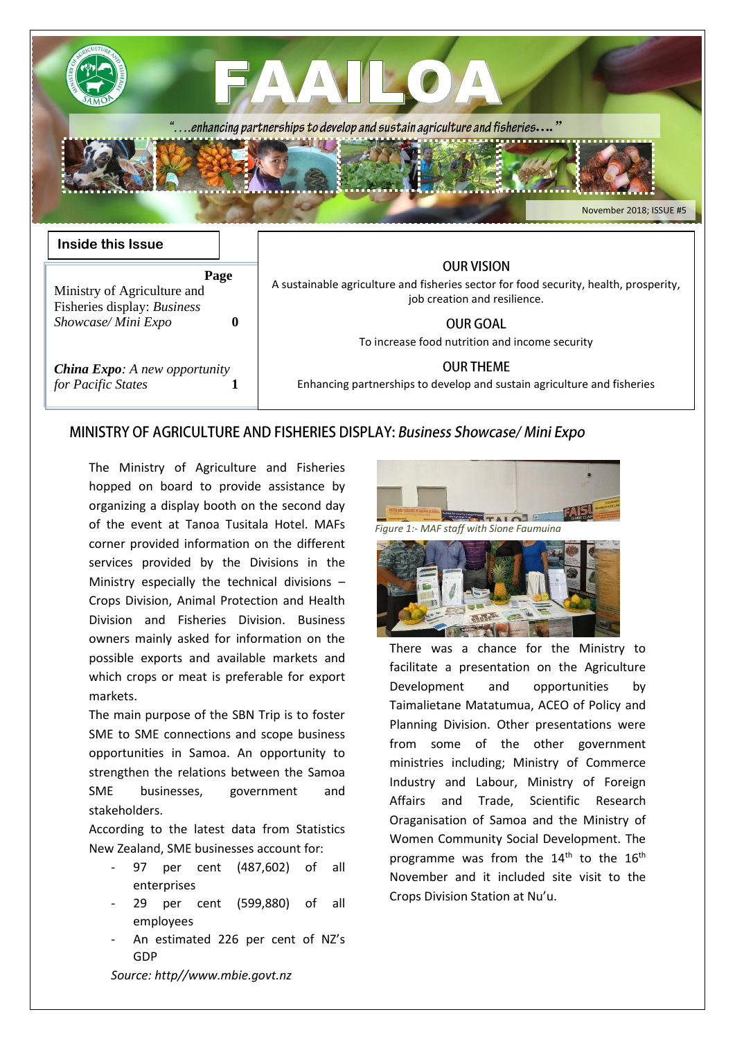|                                                                                                | "enhancing partnerships to develop and sustain agriculture and fisheries"<br>November 2018; ISSUE #5                                       |
|------------------------------------------------------------------------------------------------|--------------------------------------------------------------------------------------------------------------------------------------------|
| <b>Inside this Issue</b><br>Page<br>Ministry of Agriculture and<br>Fisheries display: Business | <b>OUR VISION</b><br>A sustainable agriculture and fisheries sector for food security, health, prosperity,<br>job creation and resilience. |
| Showcase/Mini Expo<br>$\mathbf{0}$                                                             | <b>OUR GOAL</b><br>To increase food nutrition and income security                                                                          |
| <b>China Expo:</b> A new opportunity<br>for Pacific States                                     | <b>OUR THEME</b><br>Enhancing partnerships to develop and sustain agriculture and fisheries                                                |

### MINISTRY OF AGRICULTURE AND FISHERIES DISPLAY: Business Showcase/ Mini Expo

The Ministry of Agriculture and Fisheries hopped on board to provide assistance by organizing a display booth on the second day of the event at Tanoa Tusitala Hotel. MAFs corner provided information on the different services provided by the Divisions in the Ministry especially the technical divisions – Crops Division, Animal Protection and Health Division and Fisheries Division. Business owners mainly asked for information on the possible exports and available markets and which crops or meat is preferable for export markets.

The main purpose of the SBN Trip is to foster SME to SME connections and scope business opportunities in Samoa. An opportunity to strengthen the relations between the Samoa SME businesses, government and stakeholders.

According to the latest data from Statistics New Zealand, SME businesses account for:

- 97 per cent (487,602) of all enterprises
- 29 per cent (599,880) of all employees
- An estimated 226 per cent of NZ's GDP





There was a chance for the Ministry to facilitate a presentation on the Agriculture Development and opportunities by Taimalietane Matatumua, ACEO of Policy and Planning Division. Other presentations were from some of the other government ministries including; Ministry of Commerce Industry and Labour, Ministry of Foreign Affairs and Trade, Scientific Research Oraganisation of Samoa and the Ministry of Women Community Social Development. The programme was from the  $14<sup>th</sup>$  to the  $16<sup>th</sup>$ November and it included site visit to the Crops Division Station at Nu'u.

*Source: http//www.mbie.govt.nz*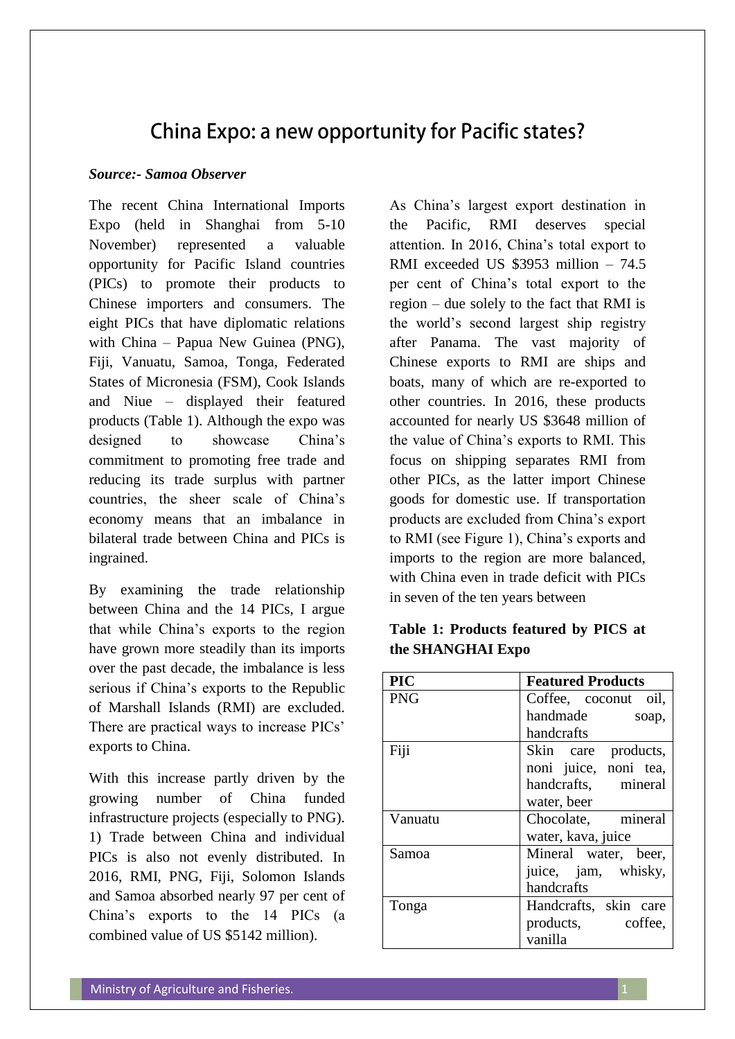# China Expo: a new opportunity for Pacific states?

#### *Source:- Samoa Observer*

The recent China International Imports Expo (held in Shanghai from 5-10 November) represented a valuable opportunity for Pacific Island countries (PICs) to promote their products to Chinese importers and consumers. The eight PICs that have diplomatic relations with China – Papua New Guinea (PNG), Fiji, Vanuatu, Samoa, Tonga, Federated States of Micronesia (FSM), Cook Islands and Niue – displayed their featured products (Table 1). Although the expo was designed to showcase China's commitment to promoting free trade and reducing its trade surplus with partner countries, the sheer scale of China's economy means that an imbalance in bilateral trade between China and PICs is ingrained.

By examining the trade relationship between China and the 14 PICs, I argue that while China's exports to the region have grown more steadily than its imports over the past decade, the imbalance is less serious if China's exports to the Republic of Marshall Islands (RMI) are excluded. There are practical ways to increase PICs' exports to China.

With this increase partly driven by the growing number of China funded infrastructure projects (especially to PNG). 1) Trade between China and individual PICs is also not evenly distributed. In 2016, RMI, PNG, Fiji, Solomon Islands and Samoa absorbed nearly 97 per cent of China's exports to the 14 PICs (a combined value of US \$5142 million).

As China's largest export destination in the Pacific, RMI deserves special attention. In 2016, China's total export to RMI exceeded US \$3953 million – 74.5 per cent of China's total export to the region – due solely to the fact that RMI is the world's second largest ship registry after Panama. The vast majority of Chinese exports to RMI are ships and boats, many of which are re-exported to other countries. In 2016, these products accounted for nearly US \$3648 million of the value of China's exports to RMI. This focus on shipping separates RMI from other PICs, as the latter import Chinese goods for domestic use. If transportation products are excluded from China's export to RMI (see Figure 1), China's exports and imports to the region are more balanced, with China even in trade deficit with PICs in seven of the ten years between

# **Table 1: Products featured by PICS at the SHANGHAI Expo**

| <b>PIC</b> | <b>Featured Products</b> |  |  |
|------------|--------------------------|--|--|
| <b>PNG</b> | Coffee, coconut oil,     |  |  |
|            | handmade<br>soap,        |  |  |
|            | handcrafts               |  |  |
| Fiji       | Skin care products,      |  |  |
|            | noni juice, noni tea,    |  |  |
|            | handcrafts, mineral      |  |  |
|            | water, beer              |  |  |
| Vanuatu    | Chocolate, mineral       |  |  |
|            | water, kava, juice       |  |  |
| Samoa      | Mineral water, beer,     |  |  |
|            | juice, jam, whisky,      |  |  |
|            | handcrafts               |  |  |
| Tonga      | Handcrafts, skin care    |  |  |
|            | products, coffee,        |  |  |
|            | vanilla                  |  |  |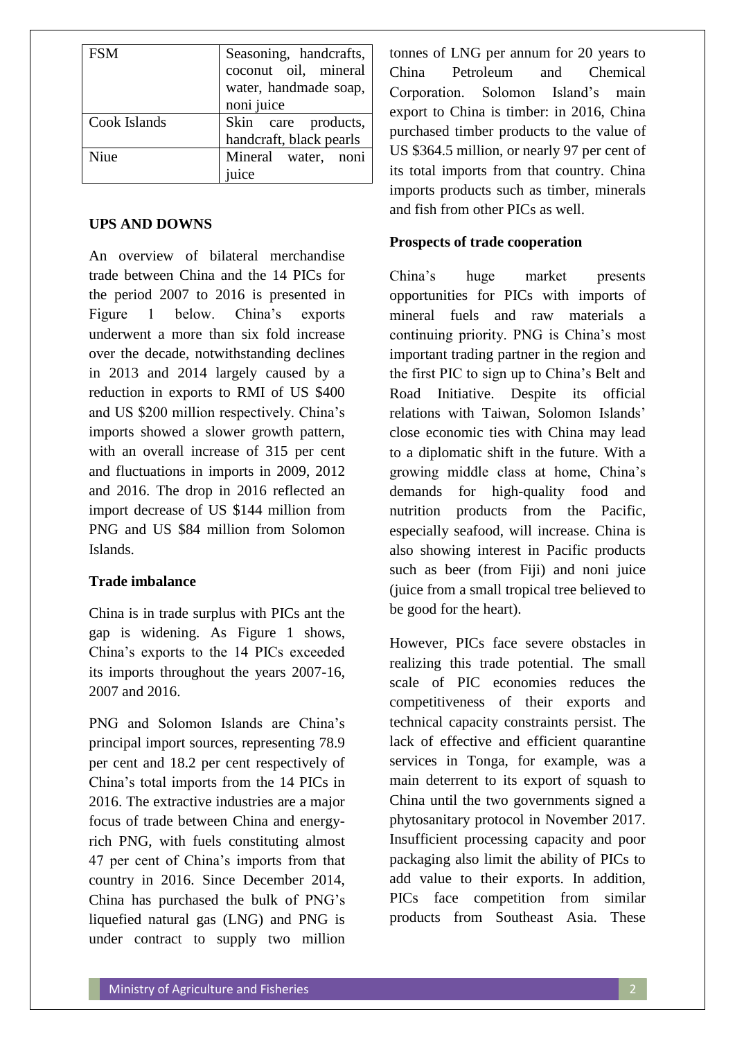| <b>FSM</b>   | Seasoning, handcrafts,<br>coconut oil, mineral<br>water, handmade soap, |
|--------------|-------------------------------------------------------------------------|
|              | noni juice                                                              |
| Cook Islands | Skin care products,                                                     |
|              | handcraft, black pearls                                                 |
| Nine         | Mineral water, noni                                                     |
|              | uice                                                                    |

## **UPS AND DOWNS**

An overview of bilateral merchandise trade between China and the 14 PICs for the period 2007 to 2016 is presented in Figure 1 below. China's exports underwent a more than six fold increase over the decade, notwithstanding declines in 2013 and 2014 largely caused by a reduction in exports to RMI of US \$400 and US \$200 million respectively. China's imports showed a slower growth pattern, with an overall increase of 315 per cent and fluctuations in imports in 2009, 2012 and 2016. The drop in 2016 reflected an import decrease of US \$144 million from PNG and US \$84 million from Solomon Islands.

## **Trade imbalance**

China is in trade surplus with PICs ant the gap is widening. As Figure 1 shows, China's exports to the 14 PICs exceeded its imports throughout the years 2007-16, 2007 and 2016.

PNG and Solomon Islands are China's principal import sources, representing 78.9 per cent and 18.2 per cent respectively of China's total imports from the 14 PICs in 2016. The extractive industries are a major focus of trade between China and energyrich PNG, with fuels constituting almost 47 per cent of China's imports from that country in 2016. Since December 2014, China has purchased the bulk of PNG's liquefied natural gas (LNG) and PNG is under contract to supply two million

tonnes of LNG per annum for 20 years to China Petroleum and Chemical Corporation. Solomon Island's main export to China is timber: in 2016, China purchased timber products to the value of US \$364.5 million, or nearly 97 per cent of its total imports from that country. China imports products such as timber, minerals and fish from other PICs as well.

## **Prospects of trade cooperation**

China's huge market presents opportunities for PICs with imports of mineral fuels and raw materials a continuing priority. PNG is China's most important trading partner in the region and the first PIC to sign up to China's Belt and Road Initiative. Despite its official relations with Taiwan, Solomon Islands' close economic ties with China may lead to a diplomatic shift in the future. With a growing middle class at home, China's demands for high-quality food and nutrition products from the Pacific, especially seafood, will increase. China is also showing interest in Pacific products such as beer (from Fiji) and noni juice (juice from a small tropical tree believed to be good for the heart).

However, PICs face severe obstacles in realizing this trade potential. The small scale of PIC economies reduces the competitiveness of their exports and technical capacity constraints persist. The lack of effective and efficient quarantine services in Tonga, for example, was a main deterrent to its export of squash to China until the two governments signed a phytosanitary protocol in November 2017. Insufficient processing capacity and poor packaging also limit the ability of PICs to add value to their exports. In addition, PICs face competition from similar products from Southeast Asia. These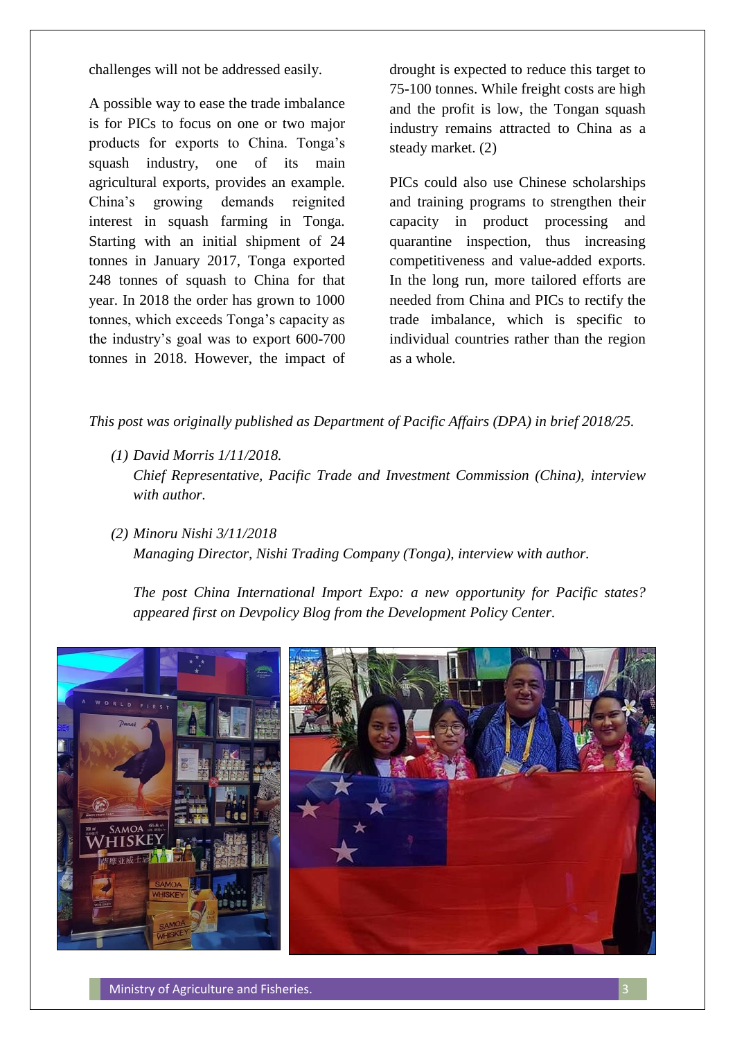challenges will not be addressed easily.

A possible way to ease the trade imbalance is for PICs to focus on one or two major products for exports to China. Tonga's squash industry, one of its main agricultural exports, provides an example. China's growing demands reignited interest in squash farming in Tonga. Starting with an initial shipment of 24 tonnes in January 2017, Tonga exported 248 tonnes of squash to China for that year. In 2018 the order has grown to 1000 tonnes, which exceeds Tonga's capacity as the industry's goal was to export 600-700 tonnes in 2018. However, the impact of drought is expected to reduce this target to 75-100 tonnes. While freight costs are high and the profit is low, the Tongan squash industry remains attracted to China as a steady market. (2)

PICs could also use Chinese scholarships and training programs to strengthen their capacity in product processing and quarantine inspection, thus increasing competitiveness and value-added exports. In the long run, more tailored efforts are needed from China and PICs to rectify the trade imbalance, which is specific to individual countries rather than the region as a whole.

*This post was originally published as Department of Pacific Affairs (DPA) in brief 2018/25.* 

- *(1) David Morris 1/11/2018. Chief Representative, Pacific Trade and Investment Commission (China), interview with author.*
- *(2) Minoru Nishi 3/11/2018 Managing Director, Nishi Trading Company (Tonga), interview with author.*

*The post China International Import Expo: a new opportunity for Pacific states? appeared first on Devpolicy Blog from the Development Policy Center.*